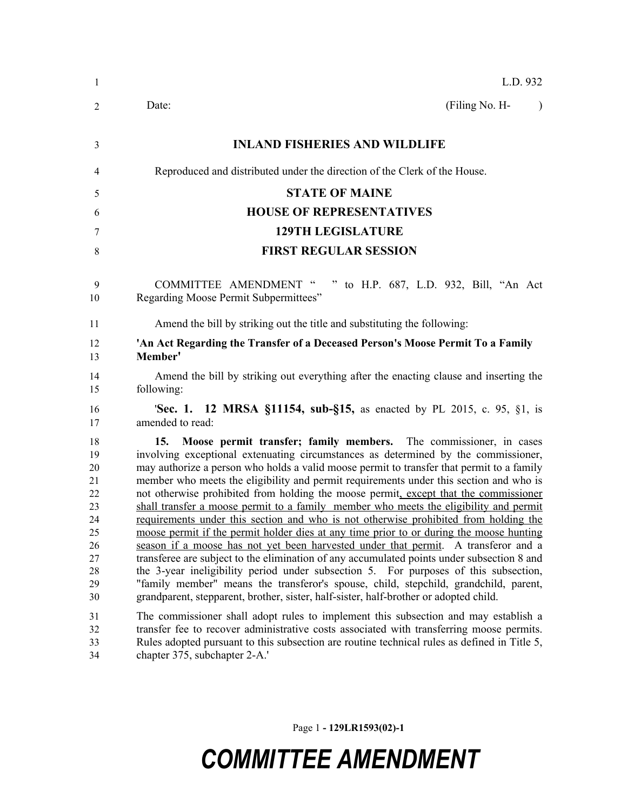| -1                                                                         | L.D. 932                                                                                                                                                                                                                                                                                                                                                                                                                                                                                                                                                                                                                                                                                                                                                                                                                                                                                                                                                                                                                                                                                                                                                                               |
|----------------------------------------------------------------------------|----------------------------------------------------------------------------------------------------------------------------------------------------------------------------------------------------------------------------------------------------------------------------------------------------------------------------------------------------------------------------------------------------------------------------------------------------------------------------------------------------------------------------------------------------------------------------------------------------------------------------------------------------------------------------------------------------------------------------------------------------------------------------------------------------------------------------------------------------------------------------------------------------------------------------------------------------------------------------------------------------------------------------------------------------------------------------------------------------------------------------------------------------------------------------------------|
| 2                                                                          | (Filing No. H-<br>Date:<br>$\lambda$                                                                                                                                                                                                                                                                                                                                                                                                                                                                                                                                                                                                                                                                                                                                                                                                                                                                                                                                                                                                                                                                                                                                                   |
| 3                                                                          | <b>INLAND FISHERIES AND WILDLIFE</b>                                                                                                                                                                                                                                                                                                                                                                                                                                                                                                                                                                                                                                                                                                                                                                                                                                                                                                                                                                                                                                                                                                                                                   |
| 4                                                                          | Reproduced and distributed under the direction of the Clerk of the House.                                                                                                                                                                                                                                                                                                                                                                                                                                                                                                                                                                                                                                                                                                                                                                                                                                                                                                                                                                                                                                                                                                              |
| 5                                                                          | <b>STATE OF MAINE</b>                                                                                                                                                                                                                                                                                                                                                                                                                                                                                                                                                                                                                                                                                                                                                                                                                                                                                                                                                                                                                                                                                                                                                                  |
| 6                                                                          | <b>HOUSE OF REPRESENTATIVES</b>                                                                                                                                                                                                                                                                                                                                                                                                                                                                                                                                                                                                                                                                                                                                                                                                                                                                                                                                                                                                                                                                                                                                                        |
| 7                                                                          | <b>129TH LEGISLATURE</b>                                                                                                                                                                                                                                                                                                                                                                                                                                                                                                                                                                                                                                                                                                                                                                                                                                                                                                                                                                                                                                                                                                                                                               |
| 8                                                                          | <b>FIRST REGULAR SESSION</b>                                                                                                                                                                                                                                                                                                                                                                                                                                                                                                                                                                                                                                                                                                                                                                                                                                                                                                                                                                                                                                                                                                                                                           |
| 9<br>10                                                                    | COMMITTEE AMENDMENT "<br>to H.P. 687, L.D. 932, Bill, "An Act<br>Regarding Moose Permit Subpermittees"                                                                                                                                                                                                                                                                                                                                                                                                                                                                                                                                                                                                                                                                                                                                                                                                                                                                                                                                                                                                                                                                                 |
| 11                                                                         | Amend the bill by striking out the title and substituting the following:                                                                                                                                                                                                                                                                                                                                                                                                                                                                                                                                                                                                                                                                                                                                                                                                                                                                                                                                                                                                                                                                                                               |
| 12<br>13                                                                   | 'An Act Regarding the Transfer of a Deceased Person's Moose Permit To a Family<br>Member'                                                                                                                                                                                                                                                                                                                                                                                                                                                                                                                                                                                                                                                                                                                                                                                                                                                                                                                                                                                                                                                                                              |
| 14<br>15                                                                   | Amend the bill by striking out everything after the enacting clause and inserting the<br>following:                                                                                                                                                                                                                                                                                                                                                                                                                                                                                                                                                                                                                                                                                                                                                                                                                                                                                                                                                                                                                                                                                    |
| 16<br>17                                                                   | <b>Sec. 1. 12 MRSA §11154, sub-§15, as enacted by PL 2015, c. 95, §1, is</b><br>amended to read:                                                                                                                                                                                                                                                                                                                                                                                                                                                                                                                                                                                                                                                                                                                                                                                                                                                                                                                                                                                                                                                                                       |
| 18<br>19<br>20<br>21<br>22<br>23<br>24<br>25<br>26<br>27<br>28<br>29<br>30 | Moose permit transfer; family members. The commissioner, in cases<br>15.<br>involving exceptional extenuating circumstances as determined by the commissioner,<br>may authorize a person who holds a valid moose permit to transfer that permit to a family<br>member who meets the eligibility and permit requirements under this section and who is<br>not otherwise prohibited from holding the moose permit, except that the commissioner<br>shall transfer a moose permit to a family member who meets the eligibility and permit<br>requirements under this section and who is not otherwise prohibited from holding the<br>moose permit if the permit holder dies at any time prior to or during the moose hunting<br>season if a moose has not yet been harvested under that permit. A transferor and a<br>transferee are subject to the elimination of any accumulated points under subsection 8 and<br>the 3-year ineligibility period under subsection 5. For purposes of this subsection,<br>"family member" means the transferor's spouse, child, stepchild, grandchild, parent,<br>grandparent, stepparent, brother, sister, half-sister, half-brother or adopted child. |
| 31<br>32<br>33<br>34                                                       | The commissioner shall adopt rules to implement this subsection and may establish a<br>transfer fee to recover administrative costs associated with transferring moose permits.<br>Rules adopted pursuant to this subsection are routine technical rules as defined in Title 5,<br>chapter 375, subchapter 2-A.'                                                                                                                                                                                                                                                                                                                                                                                                                                                                                                                                                                                                                                                                                                                                                                                                                                                                       |

Page 1 **- 129LR1593(02)-1**

## *COMMITTEE AMENDMENT*